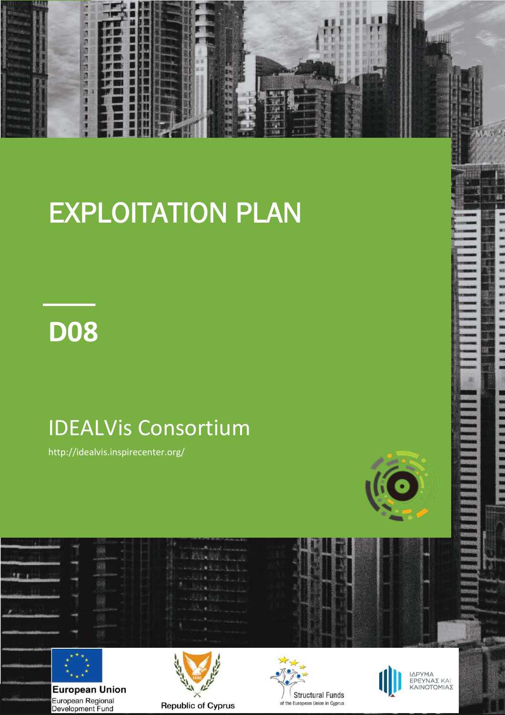

# EXPLOITATION PLAN

## **D08**

## IDEALVis Consortium

http://idealvis.inspirecenter.org/



÷

**THE REAL PROPERTY** 



**European Union** European Regional Development Fund







ΙΔΡΥΜΑ<br>ΕΡΕΥΝΑΣ ΚΑΙ<br>ΚΑΙΝΟΤΟΜΙΑΣ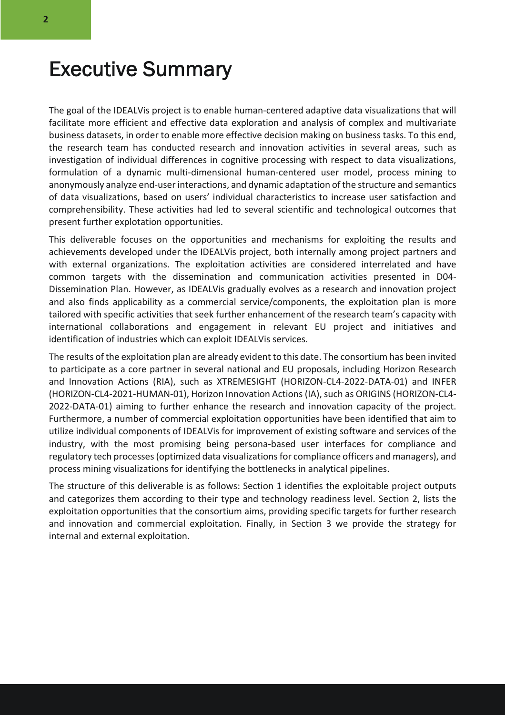#### Executive Summary

The goal of the IDEALVis project is to enable human-centered adaptive data visualizations that will facilitate more efficient and effective data exploration and analysis of complex and multivariate business datasets, in order to enable more effective decision making on business tasks. To this end, the research team has conducted research and innovation activities in several areas, such as investigation of individual differences in cognitive processing with respect to data visualizations, formulation of a dynamic multi-dimensional human-centered user model, process mining to anonymously analyze end-user interactions, and dynamic adaptation of the structure and semantics of data visualizations, based on users' individual characteristics to increase user satisfaction and comprehensibility. These activities had led to several scientific and technological outcomes that present further explotation opportunities.

This deliverable focuses on the opportunities and mechanisms for exploiting the results and achievements developed under the IDEALVis project, both internally among project partners and with external organizations. The exploitation activities are considered interrelated and have common targets with the dissemination and communication activities presented in D04- Dissemination Plan. However, as IDEALVis gradually evolves as a research and innovation project and also finds applicability as a commercial service/components, the exploitation plan is more tailored with specific activities that seek further enhancement of the research team's capacity with international collaborations and engagement in relevant EU project and initiatives and identification of industries which can exploit IDEALVis services.

The results of the exploitation plan are already evident to this date. The consortium has been invited to participate as a core partner in several national and EU proposals, including Horizon Research and Innovation Actions (RIA), such as XTREMESIGHT (HORIZON-CL4-2022-DATA-01) and INFER (HORIZON-CL4-2021-HUMAN-01), Horizon Innovation Actions (IA), such as ORIGINS (HORIZON-CL4- 2022-DATA-01) aiming to further enhance the research and innovation capacity of the project. Furthermore, a number of commercial exploitation opportunities have been identified that aim to utilize individual components of IDEALVis for improvement of existing software and services of the industry, with the most promising being persona-based user interfaces for compliance and regulatory tech processes (optimized data visualizations for compliance officers and managers), and process mining visualizations for identifying the bottlenecks in analytical pipelines.

The structure of this deliverable is as follows: Section 1 identifies the exploitable project outputs and categorizes them according to their type and technology readiness level. Section 2, lists the exploitation opportunities that the consortium aims, providing specific targets for further research and innovation and commercial exploitation. Finally, in Section 3 we provide the strategy for internal and external exploitation.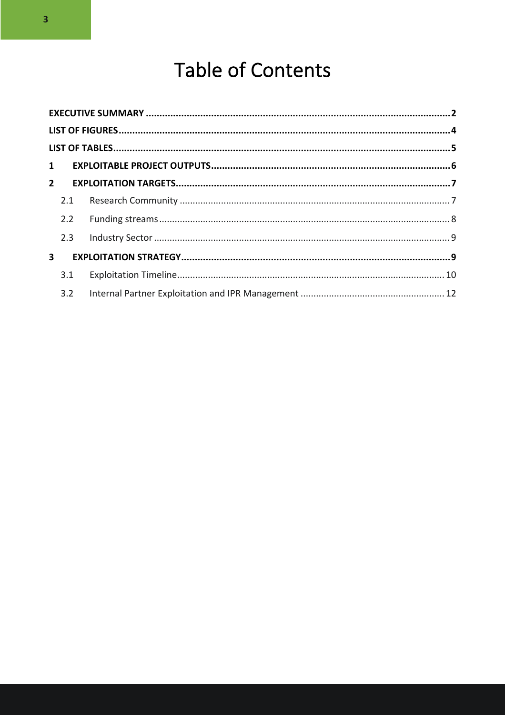## **Table of Contents**

|                         | $1 \quad$ |  |  |
|-------------------------|-----------|--|--|
|                         |           |  |  |
|                         | 2.1       |  |  |
|                         | 2.2       |  |  |
|                         | 2.3       |  |  |
| $\overline{\mathbf{3}}$ |           |  |  |
|                         | 3.1       |  |  |
|                         | 3.2       |  |  |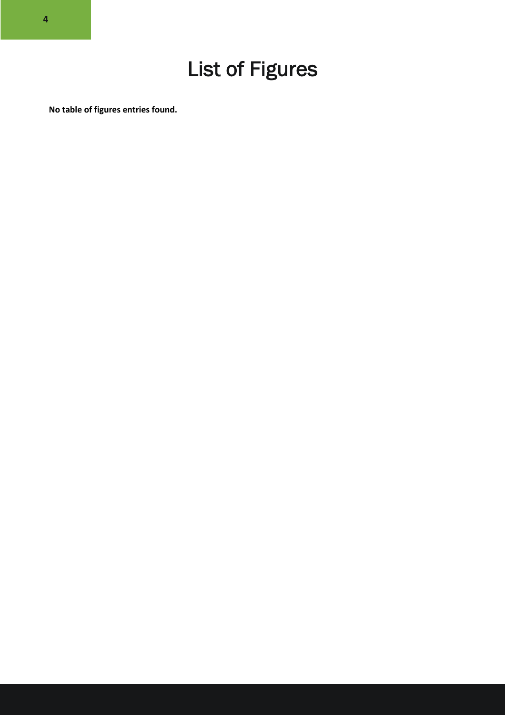**No table of figures entries found.**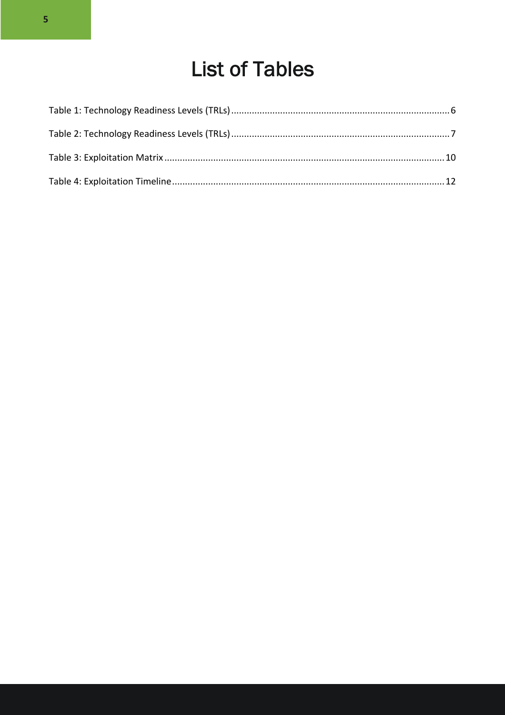### **List of Tables**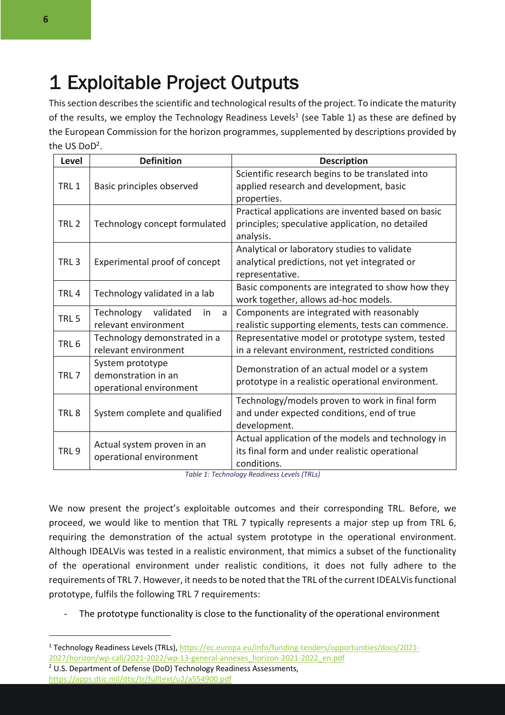### 1 Exploitable Project Outputs

This section describes the scientific and technological results of the project. To indicate the maturity of the results, we employ the Technology Readiness Levels<sup>1</sup> (see Table 1) as these are defined by the European Commission for the horizon programmes, supplemented by descriptions provided by the US DoD2.

| Level            | <b>Definition</b>               | <b>Description</b>                                 |
|------------------|---------------------------------|----------------------------------------------------|
|                  | Basic principles observed       | Scientific research begins to be translated into   |
| TRL <sub>1</sub> |                                 | applied research and development, basic            |
|                  |                                 | properties.                                        |
|                  |                                 | Practical applications are invented based on basic |
| TRL <sub>2</sub> | Technology concept formulated   | principles; speculative application, no detailed   |
|                  |                                 | analysis.                                          |
|                  |                                 | Analytical or laboratory studies to validate       |
| TRL <sub>3</sub> | Experimental proof of concept   | analytical predictions, not yet integrated or      |
|                  |                                 | representative.                                    |
| TRL <sub>4</sub> | Technology validated in a lab   | Basic components are integrated to show how they   |
|                  |                                 | work together, allows ad-hoc models.               |
| TRL <sub>5</sub> | Technology validated<br>in<br>a | Components are integrated with reasonably          |
|                  | relevant environment            | realistic supporting elements, tests can commence. |
| TRL <sub>6</sub> | Technology demonstrated in a    | Representative model or prototype system, tested   |
|                  | relevant environment            | in a relevant environment, restricted conditions   |
|                  | System prototype                | Demonstration of an actual model or a system       |
| TRL <sub>7</sub> | demonstration in an             | prototype in a realistic operational environment.  |
|                  | operational environment         |                                                    |
|                  |                                 | Technology/models proven to work in final form     |
| TRL <sub>8</sub> | System complete and qualified   | and under expected conditions, end of true         |
|                  |                                 | development.                                       |
|                  | Actual system proven in an      | Actual application of the models and technology in |
| TRL <sub>9</sub> | operational environment         | its final form and under realistic operational     |
|                  |                                 | conditions.                                        |

*Table 1: Technology Readiness Levels (TRLs)*

We now present the project's exploitable outcomes and their corresponding TRL. Before, we proceed, we would like to mention that TRL 7 typically represents a major step up from TRL 6, requiring the demonstration of the actual system prototype in the operational environment. Although IDEALVis was tested in a realistic environment, that mimics a subset of the functionality of the operational environment under realistic conditions, it does not fully adhere to the requirements of TRL 7. However, it needs to be noted that the TRL of the current IDEALVis functional prototype, fulfils the following TRL 7 requirements:

The prototype functionality is close to the functionality of the operational environment

- 2027/horizon/wp-call/2021-2022/wp-13-general-annexes\_horizon-2021-2022\_en.pdf
- <sup>2</sup> U.S. Department of Defense (DoD) Technology Readiness Assessments, https://apps.dtic.mil/dtic/tr/fulltext/u2/a554900.pdf

<sup>1</sup> Technology Readiness Levels (TRLs), https://ec.europa.eu/info/funding-tenders/opportunities/docs/2021-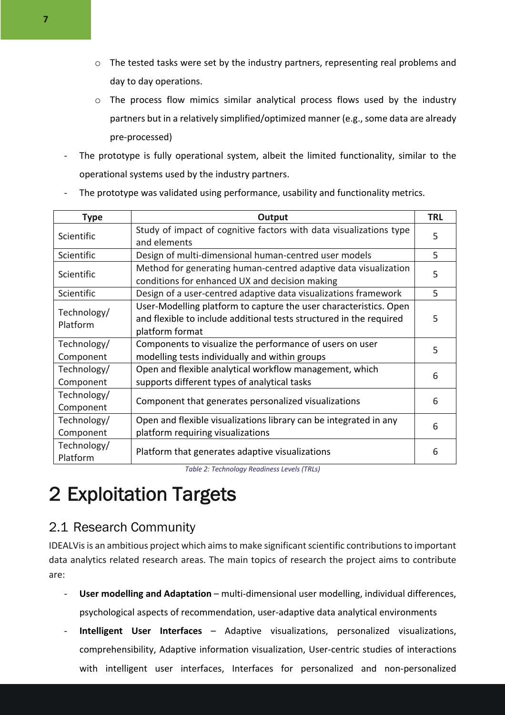- o The tested tasks were set by the industry partners, representing real problems and day to day operations.
- o The process flow mimics similar analytical process flows used by the industry partners but in a relatively simplified/optimized manner (e.g., some data are already pre-processed)
- The prototype is fully operational system, albeit the limited functionality, similar to the operational systems used by the industry partners.

| <b>Type</b>             | Output                                                              | <b>TRL</b> |  |
|-------------------------|---------------------------------------------------------------------|------------|--|
| Scientific              | Study of impact of cognitive factors with data visualizations type  | 5          |  |
|                         | and elements                                                        |            |  |
| Scientific              | Design of multi-dimensional human-centred user models               | 5          |  |
|                         | Method for generating human-centred adaptive data visualization     |            |  |
| Scientific              | conditions for enhanced UX and decision making                      | 5          |  |
| Scientific              | Design of a user-centred adaptive data visualizations framework     | 5          |  |
|                         | User-Modelling platform to capture the user characteristics. Open   |            |  |
| Technology/<br>Platform | and flexible to include additional tests structured in the required | 5          |  |
|                         | platform format                                                     |            |  |
| Technology/             | Components to visualize the performance of users on user            | 5          |  |
| Component               | modelling tests individually and within groups                      |            |  |
| Technology/             | Open and flexible analytical workflow management, which             |            |  |
| Component               | supports different types of analytical tasks                        | 6          |  |
| Technology/             |                                                                     |            |  |
| Component               | Component that generates personalized visualizations                | 6          |  |
| Technology/             | Open and flexible visualizations library can be integrated in any   |            |  |
| Component               | platform requiring visualizations                                   | 6          |  |
| Technology/             |                                                                     |            |  |
| Platform                | Platform that generates adaptive visualizations                     | 6          |  |

The prototype was validated using performance, usability and functionality metrics.

*Table 2: Technology Readiness Levels (TRLs)*

### 2 Exploitation Targets

#### 2.1 Research Community

IDEALVis is an ambitious project which aims to make significant scientific contributions to important data analytics related research areas. The main topics of research the project aims to contribute are:

- **User modelling and Adaptation** multi-dimensional user modelling, individual differences, psychological aspects of recommendation, user-adaptive data analytical environments
- **Intelligent User Interfaces**  Adaptive visualizations, personalized visualizations, comprehensibility, Adaptive information visualization, User-centric studies of interactions with intelligent user interfaces, Interfaces for personalized and non-personalized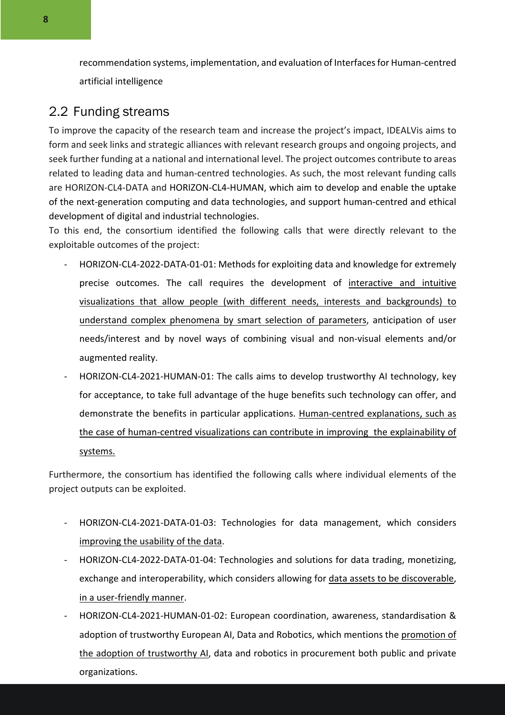recommendation systems, implementation, and evaluation of Interfaces for Human-centred artificial intelligence

#### 2.2 Funding streams

To improve the capacity of the research team and increase the project's impact, IDEALVis aims to form and seek links and strategic alliances with relevant research groups and ongoing projects, and seek further funding at a national and international level. The project outcomes contribute to areas related to leading data and human-centred technologies. As such, the most relevant funding calls are HORIZON-CL4-DATA and HORIZON-CL4-HUMAN, which aim to develop and enable the uptake of the next-generation computing and data technologies, and support human-centred and ethical development of digital and industrial technologies.

To this end, the consortium identified the following calls that were directly relevant to the exploitable outcomes of the project:

- HORIZON-CL4-2022-DATA-01-01: Methods for exploiting data and knowledge for extremely precise outcomes. The call requires the development of interactive and intuitive visualizations that allow people (with different needs, interests and backgrounds) to understand complex phenomena by smart selection of parameters, anticipation of user needs/interest and by novel ways of combining visual and non-visual elements and/or augmented reality.
- HORIZON-CL4-2021-HUMAN-01: The calls aims to develop trustworthy AI technology, key for acceptance, to take full advantage of the huge benefits such technology can offer, and demonstrate the benefits in particular applications. Human-centred explanations, such as the case of human-centred visualizations can contribute in improving the explainability of systems.

Furthermore, the consortium has identified the following calls where individual elements of the project outputs can be exploited.

- HORIZON-CL4-2021-DATA-01-03: Technologies for data management, which considers improving the usability of the data.
- HORIZON-CL4-2022-DATA-01-04: Technologies and solutions for data trading, monetizing, exchange and interoperability, which considers allowing for data assets to be discoverable, in a user-friendly manner.
- HORIZON-CL4-2021-HUMAN-01-02: European coordination, awareness, standardisation & adoption of trustworthy European AI, Data and Robotics, which mentions the promotion of the adoption of trustworthy AI, data and robotics in procurement both public and private organizations.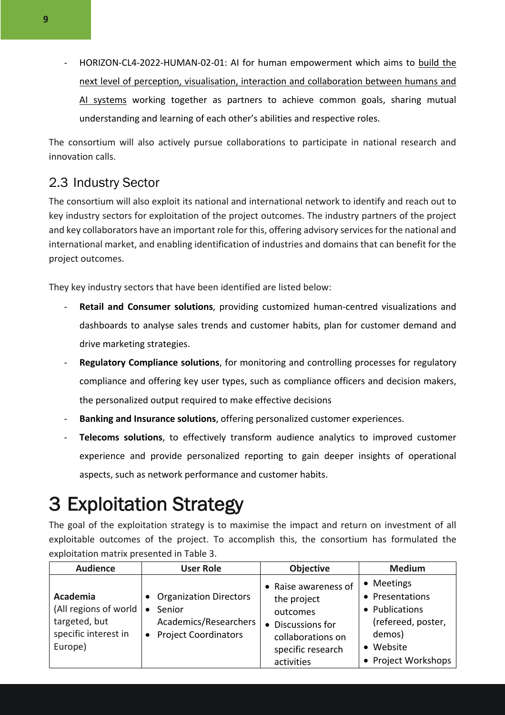- HORIZON-CL4-2022-HUMAN-02-01: AI for human empowerment which aims to build the next level of perception, visualisation, interaction and collaboration between humans and AI systems working together as partners to achieve common goals, sharing mutual understanding and learning of each other's abilities and respective roles.

The consortium will also actively pursue collaborations to participate in national research and innovation calls.

#### 2.3 Industry Sector

The consortium will also exploit its national and international network to identify and reach out to key industry sectors for exploitation of the project outcomes. The industry partners of the project and key collaborators have an important role for this, offering advisory services for the national and international market, and enabling identification of industries and domains that can benefit for the project outcomes.

They key industry sectors that have been identified are listed below:

- **Retail and Consumer solutions**, providing customized human-centred visualizations and dashboards to analyse sales trends and customer habits, plan for customer demand and drive marketing strategies.
- **Regulatory Compliance solutions**, for monitoring and controlling processes for regulatory compliance and offering key user types, such as compliance officers and decision makers, the personalized output required to make effective decisions
- **Banking and Insurance solutions**, offering personalized customer experiences.
- **Telecoms solutions**, to effectively transform audience analytics to improved customer experience and provide personalized reporting to gain deeper insights of operational aspects, such as network performance and customer habits.

### 3 Exploitation Strategy

The goal of the exploitation strategy is to maximise the impact and return on investment of all exploitable outcomes of the project. To accomplish this, the consortium has formulated the exploitation matrix presented in Table 3.

| <b>Audience</b>                                                                       | <b>User Role</b>                                                                      | Objective                                                                                                                    | <b>Medium</b>                                                                                                       |
|---------------------------------------------------------------------------------------|---------------------------------------------------------------------------------------|------------------------------------------------------------------------------------------------------------------------------|---------------------------------------------------------------------------------------------------------------------|
| Academia<br>(All regions of world<br>targeted, but<br>specific interest in<br>Europe) | • Organization Directors<br>Senior<br>Academics/Researchers<br>• Project Coordinators | • Raise awareness of<br>the project<br>outcomes<br>• Discussions for<br>collaborations on<br>specific research<br>activities | • Meetings<br>• Presentations<br>• Publications<br>(refereed, poster,<br>demos)<br>• Website<br>• Project Workshops |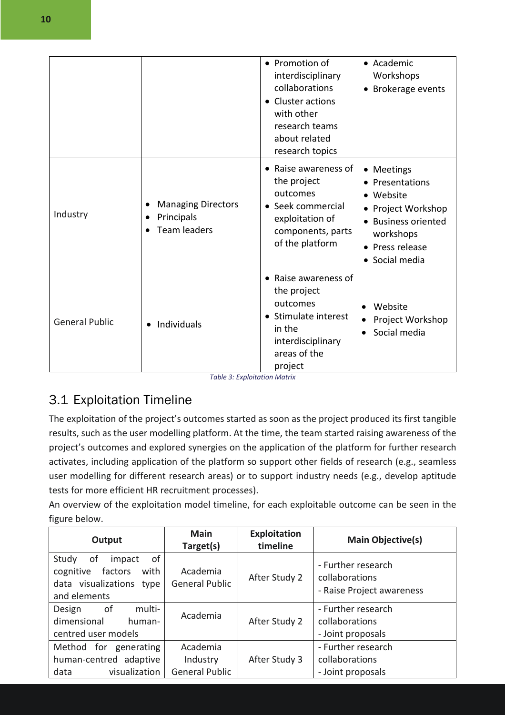|                       |                                                                | • Promotion of<br>interdisciplinary<br>collaborations<br>• Cluster actions<br>with other<br>research teams<br>about related                        | • Academic<br>Workshops<br>Brokerage events                                                                                                    |
|-----------------------|----------------------------------------------------------------|----------------------------------------------------------------------------------------------------------------------------------------------------|------------------------------------------------------------------------------------------------------------------------------------------------|
| Industry              | <b>Managing Directors</b><br>Principals<br><b>Team leaders</b> | research topics<br>• Raise awareness of<br>the project<br>outcomes<br>• Seek commercial<br>exploitation of<br>components, parts<br>of the platform | • Meetings<br>• Presentations<br>• Website<br>• Project Workshop<br><b>Business oriented</b><br>workshops<br>• Press release<br>• Social media |
| <b>General Public</b> | Individuals                                                    | • Raise awareness of<br>the project<br>outcomes<br>• Stimulate interest<br>in the<br>interdisciplinary<br>areas of the<br>project                  | Website<br>$\bullet$<br>Project Workshop<br>$\bullet$<br>Social media<br>$\bullet$                                                             |

*Table 3: Exploitation Matrix*

#### 3.1 Exploitation Timeline

The exploitation of the project's outcomes started as soon as the project produced its first tangible results, such as the user modelling platform. At the time, the team started raising awareness of the project's outcomes and explored synergies on the application of the platform for further research activates, including application of the platform so support other fields of research (e.g., seamless user modelling for different research areas) or to support industry needs (e.g., develop aptitude tests for more efficient HR recruitment processes).

An overview of the exploitation model timeline, for each exploitable outcome can be seen in the figure below.

| Output                                                                                                     | <b>Main</b><br>Target(s)                      | Exploitation<br>timeline | <b>Main Objective(s)</b>                                          |
|------------------------------------------------------------------------------------------------------------|-----------------------------------------------|--------------------------|-------------------------------------------------------------------|
| Study<br>of<br>οf<br>impact<br>factors<br>with<br>cognitive<br>data visualizations<br>type<br>and elements | Academia<br><b>General Public</b>             | After Study 2            | - Further research<br>collaborations<br>- Raise Project awareness |
| multi-<br>of<br>Design<br>dimensional<br>human-<br>centred user models                                     | Academia                                      | After Study 2            | - Further research<br>collaborations<br>- Joint proposals         |
| for generating<br>Method<br>human-centred adaptive<br>visualization<br>data                                | Academia<br>Industry<br><b>General Public</b> | After Study 3            | - Further research<br>collaborations<br>- Joint proposals         |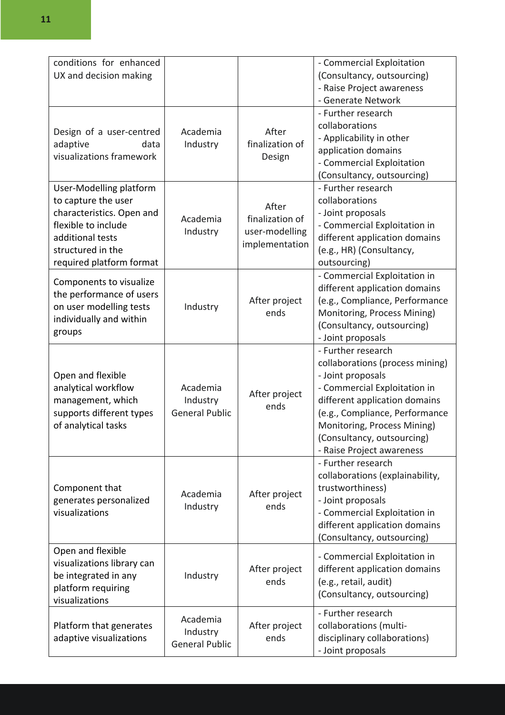| conditions for enhanced<br>UX and decision making                                                                                                                       |                                               |                                                              | - Commercial Exploitation<br>(Consultancy, outsourcing)<br>- Raise Project awareness<br>- Generate Network                                                                                                                                                              |
|-------------------------------------------------------------------------------------------------------------------------------------------------------------------------|-----------------------------------------------|--------------------------------------------------------------|-------------------------------------------------------------------------------------------------------------------------------------------------------------------------------------------------------------------------------------------------------------------------|
| Design of a user-centred<br>adaptive<br>data<br>visualizations framework                                                                                                | Academia<br>Industry                          | After<br>finalization of<br>Design                           | - Further research<br>collaborations<br>- Applicability in other<br>application domains<br>- Commercial Exploitation<br>(Consultancy, outsourcing)                                                                                                                      |
| User-Modelling platform<br>to capture the user<br>characteristics. Open and<br>flexible to include<br>additional tests<br>structured in the<br>required platform format | Academia<br>Industry                          | After<br>finalization of<br>user-modelling<br>implementation | - Further research<br>collaborations<br>- Joint proposals<br>- Commercial Exploitation in<br>different application domains<br>(e.g., HR) (Consultancy,<br>outsourcing)                                                                                                  |
| Components to visualize<br>the performance of users<br>on user modelling tests<br>individually and within<br>groups                                                     | Industry                                      | After project<br>ends                                        | - Commercial Exploitation in<br>different application domains<br>(e.g., Compliance, Performance<br>Monitoring, Process Mining)<br>(Consultancy, outsourcing)<br>- Joint proposals                                                                                       |
| Open and flexible<br>analytical workflow<br>management, which<br>supports different types<br>of analytical tasks                                                        | Academia<br>Industry<br><b>General Public</b> | After project<br>ends                                        | - Further research<br>collaborations (process mining)<br>- Joint proposals<br>- Commercial Exploitation in<br>different application domains<br>(e.g., Compliance, Performance<br>Monitoring, Process Mining)<br>(Consultancy, outsourcing)<br>- Raise Project awareness |
| Component that<br>generates personalized<br>visualizations                                                                                                              | Academia<br>Industry                          | After project<br>ends                                        | - Further research<br>collaborations (explainability,<br>trustworthiness)<br>- Joint proposals<br>- Commercial Exploitation in<br>different application domains<br>(Consultancy, outsourcing)                                                                           |
| Open and flexible<br>visualizations library can<br>be integrated in any<br>platform requiring<br>visualizations                                                         | Industry                                      | After project<br>ends                                        | - Commercial Exploitation in<br>different application domains<br>(e.g., retail, audit)<br>(Consultancy, outsourcing)                                                                                                                                                    |
| Platform that generates<br>adaptive visualizations                                                                                                                      | Academia<br>Industry<br><b>General Public</b> | After project<br>ends                                        | - Further research<br>collaborations (multi-<br>disciplinary collaborations)<br>- Joint proposals                                                                                                                                                                       |